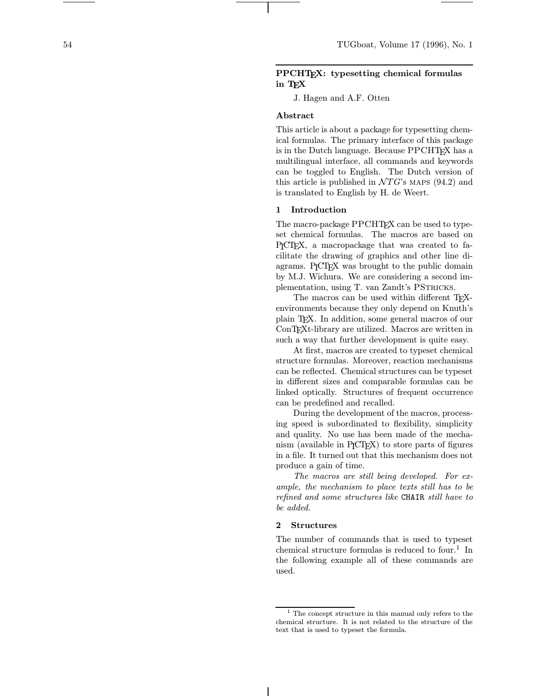## PPCHT<sub>EX</sub>: typesetting chemical formulas in TEX

J. Hagen and A.F. Otten

## Abstract

This article is about a package for typesetting chemical formulas. The primary interface of this package is in the Dutch language. Because PPCHT<sub>F</sub>X has a multilingual interface, all commands and keywords can be toggled to English. The Dutch version of this article is published in  $\mathcal{N}TG$ 's MAPS (94.2) and is translated to English by H. de Weert.

### 1 Introduction

The macro-package PPCHT<sub>F</sub>X can be used to typeset chemical formulas. The macros are based on PICTEX, a macropackage that was created to facilitate the drawing of graphics and other line diagrams. P<sub>I</sub>CT<sub>E</sub>X was brought to the public domain by M.J. Wichura. We are considering a second implementation, using T. van Zandt's PStricks.

The macros can be used within different T<sub>E</sub>Xenvironments because they only depend on Knuth's plain TEX. In addition, some general macros of our ConTEXt-library are utilized. Macros are written in such a way that further development is quite easy.

At first, macros are created to typeset chemical structure formulas. Moreover, reaction mechanisms can be reflected. Chemical structures can be typeset in different sizes and comparable formulas can be linked optically. Structures of frequent occurrence can be predefined and recalled.

During the development of the macros, processing speed is subordinated to flexibility, simplicity and quality. No use has been made of the mechanism (available in  $P_{\text{ICTF}}(X)$  to store parts of figures in a file. It turned out that this mechanism does not produce a gain of time.

The macros are still being developed. For example, the mechanism to place texts still has to be refined and some structures like CHAIR still have to be added.

## 2 Structures

The number of commands that is used to typeset chemical structure formulas is reduced to four.<sup>1</sup> In the following example all of these commands are used.

<sup>1</sup> The concept structure in this manual only refers to the chemical structure. It is not related to the structure of the text that is used to typeset the formula.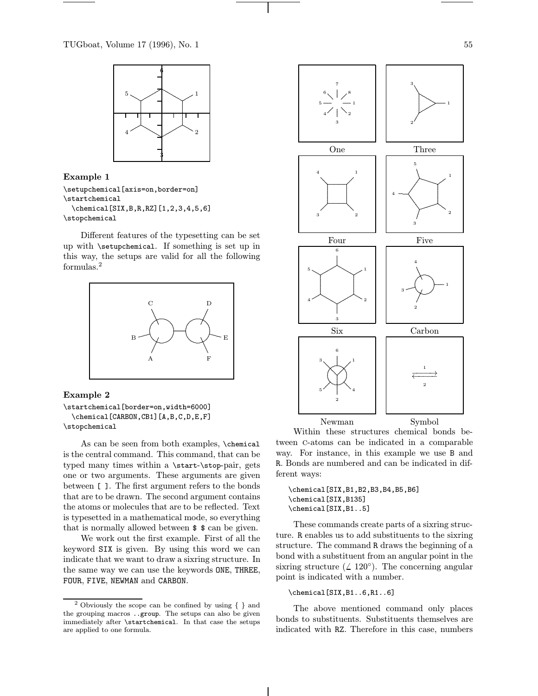

Example 1 \setupchemical[axis=on,border=on] \startchemical \chemical[SIX,B,R,RZ][1,2,3,4,5,6] \stopchemical

Different features of the typesetting can be set up with \setupchemical. If something is set up in this way, the setups are valid for all the following formulas.<sup>2</sup>



## Example 2

\startchemical[border=on,width=6000] \chemical[CARBON,CB1][A,B,C,D,E,F] \stopchemical

As can be seen from both examples, \chemical is the central command. This command, that can be typed many times within a \start-\stop-pair, gets one or two arguments. These arguments are given between [ ]. The first argument refers to the bonds that are to be drawn. The second argument contains the atoms or molecules that are to be reflected. Text is typesetted in a mathematical mode, so everything that is normally allowed between \$ \$ can be given.

We work out the first example. First of all the keyword SIX is given. By using this word we can indicate that we want to draw a sixring structure. In the same way we can use the keywords ONE, THREE, FOUR, FIVE, NEWMAN and CARBON.



Within these structures chemical bonds between c-atoms can be indicated in a comparable way. For instance, in this example we use B and R. Bonds are numbered and can be indicated in different ways:

\chemical[SIX,B1,B2,B3,B4,B5,B6] \chemical[SIX,B135] \chemical[SIX,B1..5]

These commands create parts of a sixring structure. R enables us to add substituents to the sixring structure. The command R draws the beginning of a bond with a substituent from an angular point in the sixring structure ( $\angle$  120<sup>°</sup>). The concerning angular point is indicated with a number.

## \chemical[SIX,B1..6,R1..6]

The above mentioned command only places bonds to substituents. Substituents themselves are indicated with RZ. Therefore in this case, numbers

<sup>2</sup> Obviously the scope can be confined by using { } and the grouping macros ..group. The setups can also be given immediately after \startchemical. In that case the setups are applied to one formula.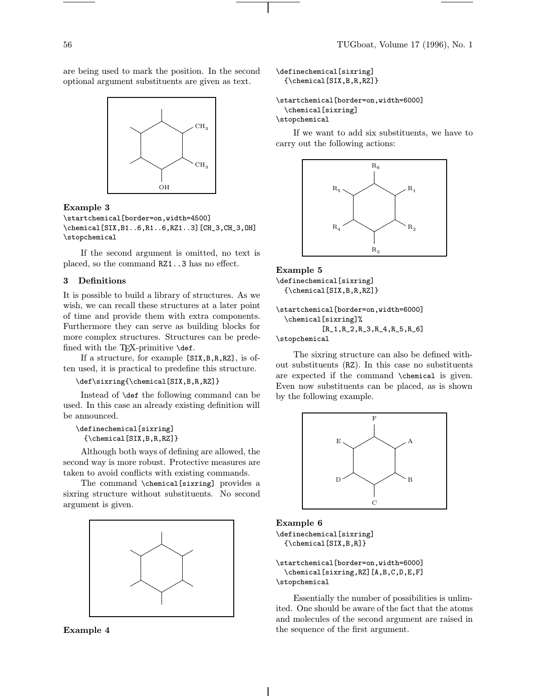are being used to mark the position. In the second optional argument substituents are given as text.



## Example 3

\startchemical[border=on,width=4500] \chemical[SIX,B1..6,R1..6,RZ1..3][CH\_3,CH\_3,OH] \stopchemical

If the second argument is omitted, no text is placed, so the command RZ1..3 has no effect.

## 3 Definitions

It is possible to build a library of structures. As we wish, we can recall these structures at a later point of time and provide them with extra components. Furthermore they can serve as building blocks for more complex structures. Structures can be predefined with the TEX-primitive \def.

If a structure, for example [SIX,B,R,RZ], is often used, it is practical to predefine this structure.

## \def\sixring{\chemical[SIX,B,R,RZ]}

Instead of \def the following command can be used. In this case an already existing definition will be announced.

```
\definechemical[sixring]
  {\chemical[SIX,B,R,RZ]}
```
Although both ways of defining are allowed, the second way is more robust. Protective measures are taken to avoid conflicts with existing commands.

The command \chemical[sixring] provides a sixring structure without substituents. No second argument is given.



Example 4

```
\definechemical[sixring]
  {\chemical[SIX,B,R,RZ]}
```
\startchemical[border=on,width=6000] \chemical[sixring] \stopchemical

If we want to add six substituents, we have to carry out the following actions:



## Example 5

\definechemical[sixring] {\chemical[SIX,B,R,RZ]}

\startchemical[border=on,width=6000] \chemical[sixring]% [R\_1,R\_2,R\_3,R\_4,R\_5,R\_6]

\stopchemical

The sixring structure can also be defined without substituents (RZ). In this case no substituents are expected if the command \chemical is given. Even now substituents can be placed, as is shown by the following example.



# Example 6

\definechemical[sixring] {\chemical[SIX,B,R]}

```
\startchemical[border=on,width=6000]
  \chemical[sixring,RZ][A,B,C,D,E,F]
\stopchemical
```
Essentially the number of possibilities is unlimited. One should be aware of the fact that the atoms and molecules of the second argument are raised in the sequence of the first argument.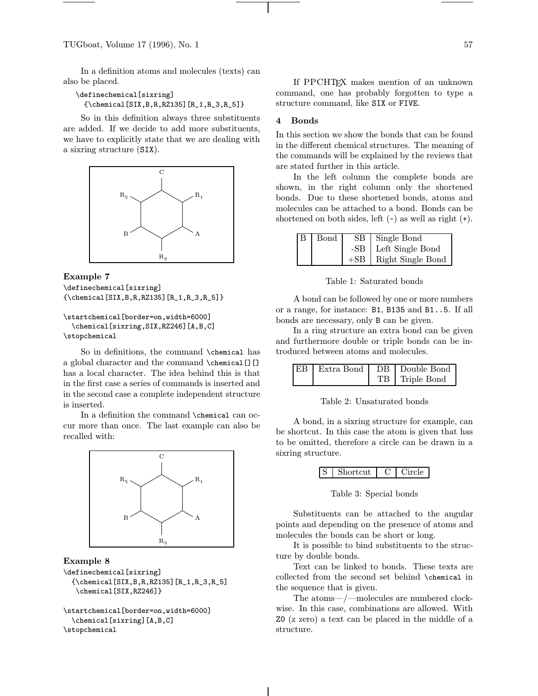In a definition atoms and molecules (texts) can also be placed.

```
\definechemical[sixring]
 {\Lambda[SIX,B,R,RZ135][R_1,R_3,R_5]}
```
So in this definition always three substituents are added. If we decide to add more substituents, we have to explicitly state that we are dealing with a sixring structure (SIX).



## Example 7

```
\definechemical[sixring]
{\chemical[SIX,B,R,RZ135][R_1,R_3,R_5]}
```

```
\startchemical[border=on,width=6000]
  \chemical[sixring,SIX,RZ246][A,B,C]
\stopchemical
```
So in definitions, the command \chemical has a global character and the command \chemical[][] has a local character. The idea behind this is that in the first case a series of commands is inserted and in the second case a complete independent structure is inserted.

In a definition the command \chemical can occur more than once. The last example can also be recalled with:



## Example 8

\definechemical[sixring] {\chemical[SIX,B,R,RZ135][R\_1,R\_3,R\_5] \chemical[SIX, RZ246]}

```
\startchemical[border=on,width=6000]
  \chemical[sixring][A,B,C]
\stopchemical
```
If PPCHTEX makes mention of an unknown command, one has probably forgotten to type a structure command, like SIX or FIVE.

## 4 Bonds

In this section we show the bonds that can be found in the different chemical structures. The meaning of the commands will be explained by the reviews that are stated further in this article.

In the left column the complete bonds are shown, in the right column only the shortened bonds. Due to these shortened bonds, atoms and molecules can be attached to a bond. Bonds can be shortened on both sides, left  $(-)$  as well as right  $(+)$ .

| Bond | SB Single Bond          |
|------|-------------------------|
|      | $-SB$ Left Single Bond  |
|      | $+SB$ Right Single Bond |

Table 1: Saturated bonds

A bond can be followed by one or more numbers or a range, for instance: B1, B135 and B1..5. If all bonds are necessary, only B can be given.

In a ring structure an extra bond can be given and furthermore double or triple bonds can be introduced between atoms and molecules.

| EB   Extra Bond | DB   Double Bond |
|-----------------|------------------|
|                 | TB Triple Bond   |

Table 2: Unsaturated bonds

A bond, in a sixring structure for example, can be shortcut. In this case the atom is given that has to be omitted, therefore a circle can be drawn in a sixring structure.

|  | Shortcut |  | Carcle |
|--|----------|--|--------|
|--|----------|--|--------|

Table 3: Special bonds

Substituents can be attached to the angular points and depending on the presence of atoms and molecules the bonds can be short or long.

It is possible to bind substituents to the structure by double bonds.

Text can be linked to bonds. These texts are collected from the second set behind \chemical in the sequence that is given.

The atoms—/—molecules are numbered clockwise. In this case, combinations are allowed. With Z0 (z zero) a text can be placed in the middle of a structure.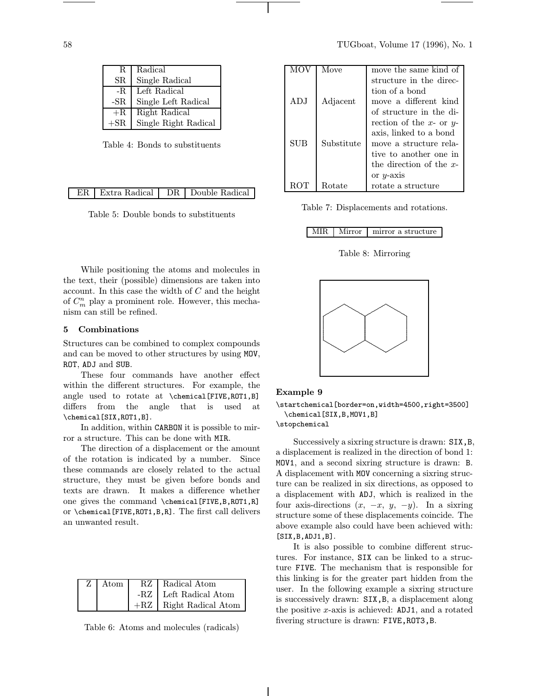| R.          | Radical              |
|-------------|----------------------|
| SR.         | Single Radical       |
| -R.         | Left Radical         |
| $-SR$       | Single Left Radical  |
| $+R$        | Right Radical        |
| $+{\rm SR}$ | Single Right Radical |

Table 4: Bonds to substituents

|  | ER   Extra Radical   DR   Double Radical |
|--|------------------------------------------|

Table 5: Double bonds to substituents

While positioning the atoms and molecules in the text, their (possible) dimensions are taken into account. In this case the width of  $C$  and the height of  $C_m^n$  play a prominent role. However, this mechanism can still be refined.

## 5 Combinations

Structures can be combined to complex compounds and can be moved to other structures by using MOV, ROT, ADJ and SUB.

These four commands have another effect within the different structures. For example, the angle used to rotate at \chemical[FIVE,ROT1,B] differs from the angle that is used at \chemical[SIX,ROT1,B].

In addition, within CARBON it is possible to mirror a structure. This can be done with MIR.

The direction of a displacement or the amount of the rotation is indicated by a number. Since these commands are closely related to the actual structure, they must be given before bonds and texts are drawn. It makes a difference whether one gives the command \chemical[FIVE,B,ROT1,R] or \chemical[FIVE,ROT1,B,R]. The first call delivers an unwanted result.

| $Z$   Atom | $RZ$ Radical Atom        |
|------------|--------------------------|
|            | $-RZ$ Left Radical Atom  |
|            | $+RZ$ Right Radical Atom |

Table 6: Atoms and molecules (radicals)

| MOV        | Move       | move the same kind of         |
|------------|------------|-------------------------------|
|            |            | structure in the direc-       |
|            |            | tion of a bond                |
| ADJ        | Adjacent   | move a different kind         |
|            |            | of structure in the di-       |
|            |            | rection of the $x$ - or $y$ - |
|            |            | axis, linked to a bond        |
| <b>SUB</b> | Substitute | move a structure rela-        |
|            |            | tive to another one in        |
|            |            | the direction of the $x$ -    |
|            |            | or $y$ -axis                  |
|            |            | rotate a structure            |

Table 7: Displacements and rotations.

| MIR<br>Mirror<br>mirror a structure |
|-------------------------------------|
|-------------------------------------|

Table 8: Mirroring



### Example 9

\startchemical[border=on,width=4500,right=3500] \chemical[SIX,B,MOV1,B] \stopchemical

Successively a sixring structure is drawn: SIX,B, a displacement is realized in the direction of bond 1: MOV1, and a second sixring structure is drawn: B. A displacement with MOV concerning a sixring structure can be realized in six directions, as opposed to a displacement with ADJ, which is realized in the four axis-directions  $(x, -x, y, -y)$ . In a sixring structure some of these displacements coincide. The above example also could have been achieved with: [SIX,B,ADJ1,B].

It is also possible to combine different structures. For instance, SIX can be linked to a structure FIVE. The mechanism that is responsible for this linking is for the greater part hidden from the user. In the following example a sixring structure is successively drawn: SIX,B, a displacement along the positive x-axis is achieved:  $ADJ1$ , and a rotated fivering structure is drawn: FIVE,ROT3,B.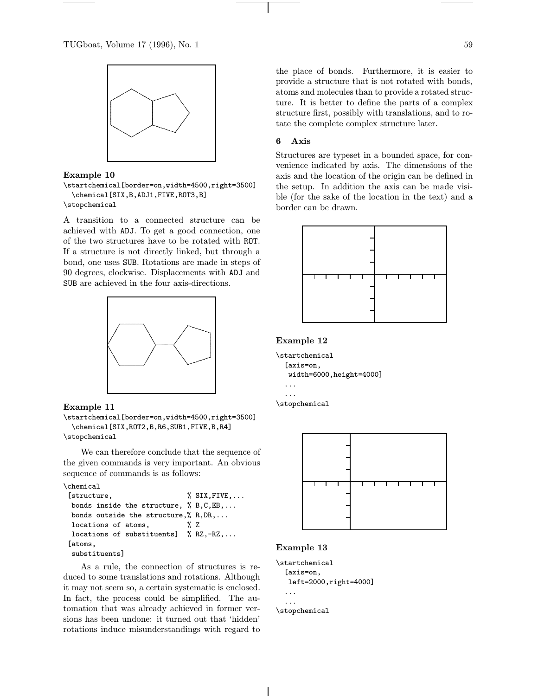

### Example 10

\startchemical[border=on,width=4500,right=3500] \chemical[SIX,B,ADJ1,FIVE,ROT3,B] \stopchemical

A transition to a connected structure can be achieved with ADJ. To get a good connection, one of the two structures have to be rotated with ROT. If a structure is not directly linked, but through a bond, one uses SUB. Rotations are made in steps of 90 degrees, clockwise. Displacements with ADJ and SUB are achieved in the four axis-directions.



## Example 11

```
\startchemical[border=on,width=4500,right=3500]
  \chemical[SIX,ROT2,B,R6,SUB1,FIVE,B,R4]
\stopchemical
```
We can therefore conclude that the sequence of the given commands is very important. An obvious sequence of commands is as follows:

```
\chemical
```

```
[structure, \frac{1}{2} SIX, FIVE,...
bonds inside the structure, % B,C,EB,...
bonds outside the structure,% R,DR,...
locations of atoms, \frac{1}{2} \frac{1}{2}locations of substituents] % RZ,-RZ,...
[atoms,
```
substituents]

As a rule, the connection of structures is reduced to some translations and rotations. Although it may not seem so, a certain systematic is enclosed. In fact, the process could be simplified. The automation that was already achieved in former versions has been undone: it turned out that 'hidden' rotations induce misunderstandings with regard to

the place of bonds. Furthermore, it is easier to provide a structure that is not rotated with bonds, atoms and molecules than to provide a rotated structure. It is better to define the parts of a complex structure first, possibly with translations, and to rotate the complete complex structure later.

## 6 Axis

Structures are typeset in a bounded space, for convenience indicated by axis. The dimensions of the axis and the location of the origin can be defined in the setup. In addition the axis can be made visible (for the sake of the location in the text) and a border can be drawn.



## Example 12

```
\startchemical
  [axis=on,
  width=6000,height=4000]
  ...
  ...
\stopchemical
```


## Example 13

```
\startchemical
  [axis=on,
  left=2000,right=4000]
  ...
  ...
\stopchemical
```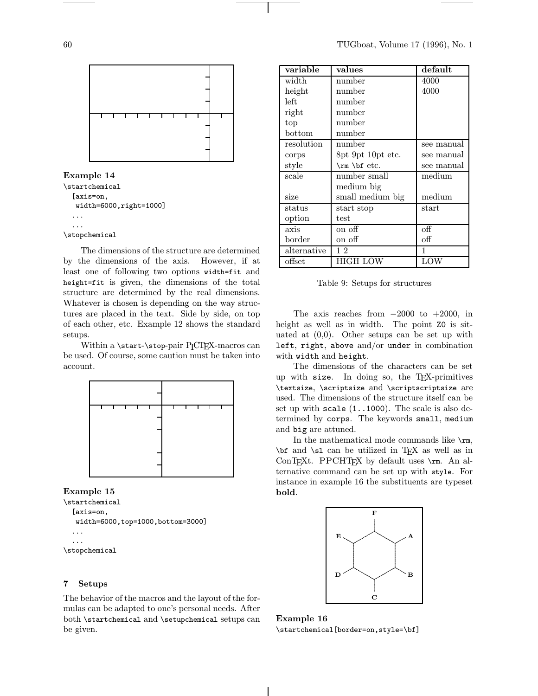

# Example 14

```
\startchemical
  [axis=on,
  width=6000,right=1000]
  ...
  ...
\stopchemical
```
The dimensions of the structure are determined by the dimensions of the axis. However, if at least one of following two options width=fit and height=fit is given, the dimensions of the total structure are determined by the real dimensions. Whatever is chosen is depending on the way structures are placed in the text. Side by side, on top of each other, etc. Example 12 shows the standard setups.

Within a \start-\stop-pair P<sub>I</sub>CT<sub>F</sub>X-macros can be used. Of course, some caution must be taken into account.

|  | $\blacksquare$ |  |  | <b>The Contract Contract Service</b> |  |  |
|--|----------------|--|--|--------------------------------------|--|--|
|  |                |  |  |                                      |  |  |
|  |                |  |  |                                      |  |  |

Example 15

```
\startchemical
  [axis=on,
  width=6000,top=1000,bottom=3000]
  ...
  ...
\stopchemical
```
## 7 Setups

The behavior of the macros and the layout of the formulas can be adapted to one's personal needs. After both \startchemical and \setupchemical setups can be given.

| variable    | values            | default        |
|-------------|-------------------|----------------|
| width       | number            | 4000           |
| height      | $\hbox{number}$   | 4000           |
| left        | number            |                |
| right       | number            |                |
| top         | number            |                |
| bottom      | number            |                |
| resolution  | number            | see manual     |
| corps       | 8pt 9pt 10pt etc. | see manual     |
| style       | \rm \bf etc.      | see manual     |
| scale       | number small      | medium         |
|             | medium big        |                |
| size        | small medium big  | medium         |
| status      | start stop        | $_{\rm start}$ |
| option      | test              |                |
| axis        | on off            | оff            |
| border      | on off            | off            |
| alternative | 12                | 1              |
| offset      | HIGH LOW          | LOW            |

## Table 9: Setups for structures

The axis reaches from  $-2000$  to  $+2000$ , in height as well as in width. The point Z0 is situated at  $(0,0)$ . Other setups can be set up with left, right, above and/or under in combination with width and height.

The dimensions of the characters can be set up with size. In doing so, the TEX-primitives \textsize, \scriptsize and \scriptscriptsize are used. The dimensions of the structure itself can be set up with  $scale(1..1000)$ . The scale is also determined by corps. The keywords small, medium and big are attuned.

In the mathematical mode commands like \rm, \bf and \sl can be utilized in TEX as well as in ConTEXt. PPCHTEX by default uses  $\rm \Delta$ n. An alternative command can be set up with style. For instance in example 16 the substituents are typeset bold.



Example 16 \startchemical[border=on,style=\bf]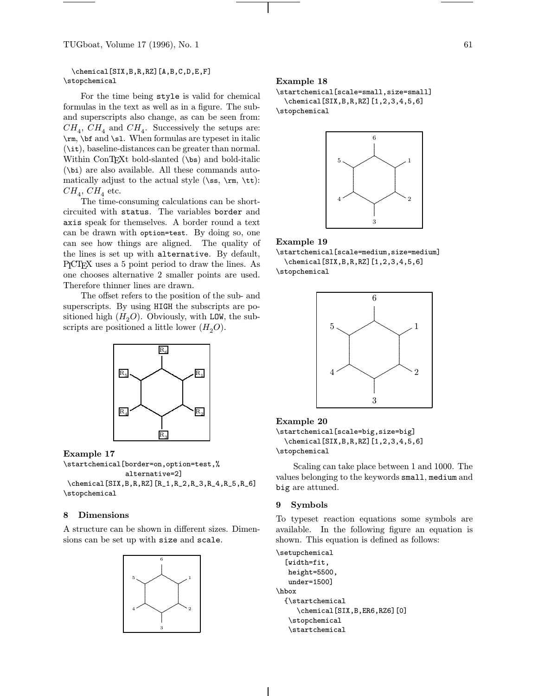\chemical[SIX,B,R,RZ][A,B,C,D,E,F] \stopchemical

For the time being style is valid for chemical formulas in the text as well as in a figure. The suband superscripts also change, as can be seen from:  $CH<sub>4</sub>, CH<sub>4</sub>$  and  $CH<sub>4</sub>$ . Successively the setups are: \rm, \bf and \sl. When formulas are typeset in italic (\it), baseline-distances can be greater than normal. Within ConTEXt bold-slanted (\bs) and bold-italic (\bi) are also available. All these commands automatically adjust to the actual style  $(\s, \rm, \tt),$  $CH_4$ ,  $CH_4$  etc.

The time-consuming calculations can be shortcircuited with status. The variables border and axis speak for themselves. A border round a text can be drawn with option=test. By doing so, one can see how things are aligned. The quality of the lines is set up with alternative. By default, PICTEX uses a 5 point period to draw the lines. As one chooses alternative 2 smaller points are used. Therefore thinner lines are drawn.

The offset refers to the position of the sub- and superscripts. By using HIGH the subscripts are positioned high  $(H_2O)$ . Obviously, with LOW, the subscripts are positioned a little lower  $(H_2O)$ .



Example 17 \startchemical[border=on,option=test,% alternative=2]

\chemical[SIX,B,R,RZ][R\_1,R\_2,R\_3,R\_4,R\_5,R\_6] \stopchemical

## 8 Dimensions

A structure can be shown in different sizes. Dimensions can be set up with size and scale.



### Example 18

\startchemical[scale=small,size=small] \chemical[SIX,B,R,RZ][1,2,3,4,5,6] \stopchemical



## Example 19

\startchemical[scale=medium,size=medium] \chemical[SIX, B, R, RZ][1, 2, 3, 4, 5, 6] \stopchemical



### Example 20

\startchemical[scale=big,size=big] \chemical[SIX, B, R, RZ][1, 2, 3, 4, 5, 6] \stopchemical

Scaling can take place between 1 and 1000. The values belonging to the keywords small, medium and big are attuned.

### 9 Symbols

To typeset reaction equations some symbols are available. In the following figure an equation is shown. This equation is defined as follows:

\setupchemical [width=fit, height=5500, under=1500] \hbox {\startchemical \chemical[SIX,B,ER6,RZ6][0] \stopchemical \startchemical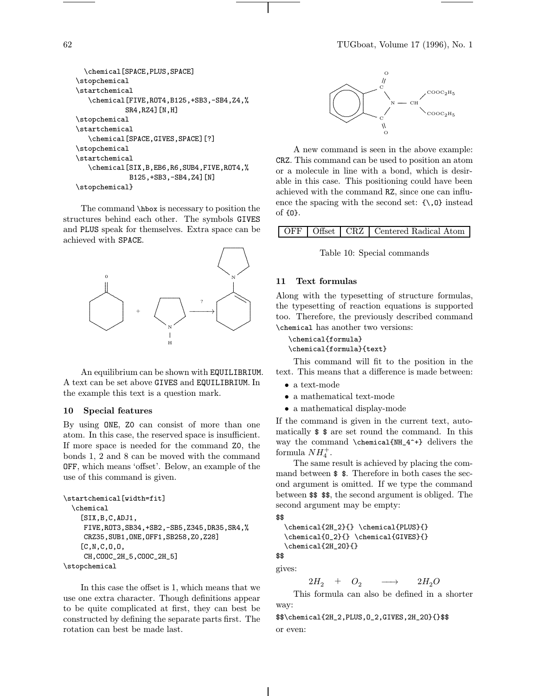```
\chemical[SPACE,PLUS,SPACE]
\stopchemical
\startchemical
   \chemical[FIVE,ROT4,B125,+SB3,-SB4,Z4,%
            SR4,RZ4][N,H]
\stopchemical
\startchemical
   \chemical[SPACE,GIVES,SPACE][?]
\stopchemical
\startchemical
   \chemical[SIX,B,EB6,R6,SUB4,FIVE,ROT4,%
             B125,+SB3,-SB4,Z4][N]
\stopchemical}
```
The command \hbox is necessary to position the structures behind each other. The symbols GIVES and PLUS speak for themselves. Extra space can be achieved with SPACE.



An equilibrium can be shown with EQUILIBRIUM. A text can be set above GIVES and EQUILIBRIUM. In the example this text is a question mark.

## 10 Special features

By using ONE, Z0 can consist of more than one atom. In this case, the reserved space is insufficient. If more space is needed for the command Z0, the bonds 1, 2 and 8 can be moved with the command OFF, which means 'offset'. Below, an example of the use of this command is given.

```
\startchemical[width=fit]
  \chemical
    [SIX,B,C,ADJ1,
    FIVE,ROT3,SB34,+SB2,-SB5,Z345,DR35,SR4,%
     CRZ35,SUB1,ONE,OFF1,SB258,Z0,Z28]
    [C,N,C,0,0,CH,COOC_2H_5,COOC_2H_5]
\stopchemical
```
In this case the offset is 1, which means that we use one extra character. Though definitions appear to be quite complicated at first, they can best be constructed by defining the separate parts first. The rotation can best be made last.



A new command is seen in the above example: CRZ. This command can be used to position an atom or a molecule in line with a bond, which is desirable in this case. This positioning could have been achieved with the command RZ, since one can influence the spacing with the second set:  $\{\setminus, 0\}$  instead of {O}.

|  |  |  | OFF   Offset   CRZ   Centered Radical Atom |
|--|--|--|--------------------------------------------|
|--|--|--|--------------------------------------------|

Table 10: Special commands

## 11 Text formulas

Along with the typesetting of structure formulas, the typesetting of reaction equations is supported too. Therefore, the previously described command \chemical has another two versions:

```
\chemical{formula}
\chemical{formula}{text}
```
This command will fit to the position in the text. This means that a difference is made between:

- a text-mode
- a mathematical text-mode
- a mathematical display-mode

If the command is given in the current text, automatically \$ \$ are set round the command. In this way the command \chemical{NH\_4^+} delivers the formula  $NH_4^+$ .

The same result is achieved by placing the command between \$ \$. Therefore in both cases the second argument is omitted. If we type the command between \$\$ \$\$, the second argument is obliged. The second argument may be empty:

```
$$
```
\chemical{2H\_2}{} \chemical{PLUS}{} \chemical{O\_2}{} \chemical{GIVES}{} \chemical{2H\_2O}{}

\$\$ gives:

 $2H_2 + O_2 \longrightarrow 2H_2O$ 

This formula can also be defined in a shorter way:

\$\$\chemical{2H\_2,PLUS,O\_2,GIVES,2H\_2O}{}\$\$ or even: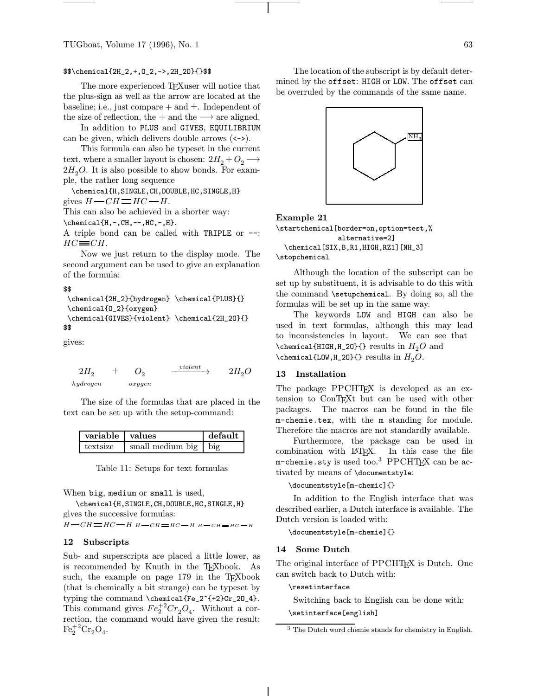## \$\$\chemical{2H\_2,+,O\_2,->,2H\_2O}{}\$\$

The more experienced TEXuser will notice that the plus-sign as well as the arrow are located at the baseline; i.e., just compare  $+$  and  $+$ . Independent of the size of reflection, the + and the  $\rightarrow$  are aligned.

In addition to PLUS and GIVES, EQUILIBRIUM can be given, which delivers double arrows (<->).

This formula can also be typeset in the current text, where a smaller layout is chosen:  $2H_2 + O_2 \longrightarrow$  $2H<sub>2</sub>O$ . It is also possible to show bonds. For example, the rather long sequence

\chemical{H,SINGLE,CH,DOUBLE,HC,SINGLE,H} gives  $H - CH \equiv HC - H$ .

This can also be achieved in a shorter way:

\chemical{H,-,CH,--,HC,-,H}.

A triple bond can be called with TRIPLE or --:  $HC = CH$ .

Now we just return to the display mode. The second argument can be used to give an explanation of the formula:

### \$\$

```
\chemical{2H_2}{hydrogen} \chemical{PLUS}{}
\chemical{O_2}{oxygen}
\chemical{GIVES}{violent} \chemical{2H_2O}{}
$$
```
gives:

 $2H<sub>2</sub>$ hydrogen  $O_2$ oxygen  $\longrightarrow 2H_2O$ 

The size of the formulas that are placed in the text can be set up with the setup-command:

| variable values |                        | default |
|-----------------|------------------------|---------|
| textsize        | small medium big   big |         |

Table 11: Setups for text formulas

When big, medium or small is used,

\chemical{H,SINGLE,CH,DOUBLE,HC,SINGLE,H} gives the successive formulas:

 $H - CH = HC - H$   $H - CH = HC - H$   $H - CH = HC - H$ 

### 12 Subscripts

Sub- and superscripts are placed a little lower, as is recommended by Knuth in the T<sub>E</sub>Xbook. As such, the example on page 179 in the T<sub>EX</sub>book (that is chemically a bit strange) can be typeset by typing the command \chemical{Fe\_2^{+2}Cr\_2O\_4}. This command gives  $Fe_2^{+2}Cr_2O_4$ . Without a correction, the command would have given the result:  $\text{Fe}_2^{+2}\text{Cr}_2\text{O}_4.$ 

The location of the subscript is by default determined by the offset: HIGH or LOW. The offset can be overruled by the commands of the same name.



## Example 21

\startchemical[border=on,option=test,% alternative=2] \chemical[SIX,B,R1,HIGH,RZ1][NH\_3] \stopchemical

Although the location of the subscript can be set up by substituent, it is advisable to do this with the command \setupchemical. By doing so, all the formulas will be set up in the same way.

The keywords LOW and HIGH can also be used in text formulas, although this may lead to inconsistencies in layout. We can see that \chemical{HIGH, H\_2O}{} results in  $H_2O$  and \chemical{LOW,H\_2O}{} results in  $H_2O$ .

### 13 Installation

The package PPCHT<sub>F</sub>X is developed as an extension to ConTEXt but can be used with other packages. The macros can be found in the file m-chemie.tex, with the m standing for module. Therefore the macros are not standardly available.

Furthermore, the package can be used in combination with LAT<sub>E</sub>X. In this case the file m-chemie.sty is used too. $^3$  PPCHT<sub>F</sub>X can be activated by means of \documentstyle:

\documentstyle[m-chemic]{}

In addition to the English interface that was described earlier, a Dutch interface is available. The Dutch version is loaded with:

\documentstyle[m-chemie]{}

## 14 Some Dutch

The original interface of PPCHT<sub>EX</sub> is Dutch. One can switch back to Dutch with:

\resetinterface

Switching back to English can be done with:

\setinterface[english]

<sup>3</sup> The Dutch word chemie stands for chemistry in English.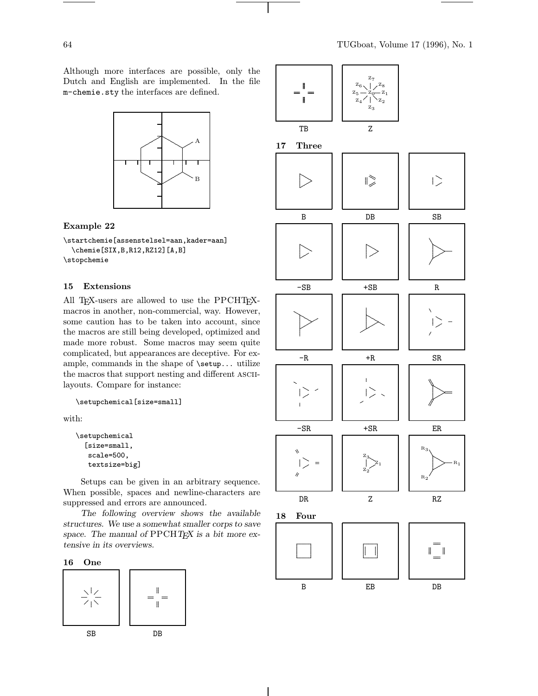Although more interfaces are possible, only the Dutch and English are implemented. In the file m-chemie.sty the interfaces are defined.



### Example 22

\startchemie[assenstelsel=aan, kader=aan] \chemie[SIX, B, R12, RZ12][A, B] \stopchemie

#### 15 Extensions

All T<sub>F</sub>X-users are allowed to use the PPCHT<sub>F</sub>Xmacros in another, non-commercial, way. However, some caution has to be taken into account, since the macros are still being developed, optimized and made more robust. Some macros may seem quite complicated, but appearances are deceptive. For example, commands in the shape of \setup... utilize the macros that support nesting and different ASCIIlayouts. Compare for instance:

```
\setupchemical[size=small]
```
with:

```
\setupchemical
  [size=small,
   scale=500,
   textsize=big]
```
Setups can be given in an arbitrary sequence. When possible, spaces and newline-characters are suppressed and errors are announced.

The following overview shows the available structures. We use a somewhat smaller corps to save space. The manual of PPCHTEX is a bit more extensive in its overviews.



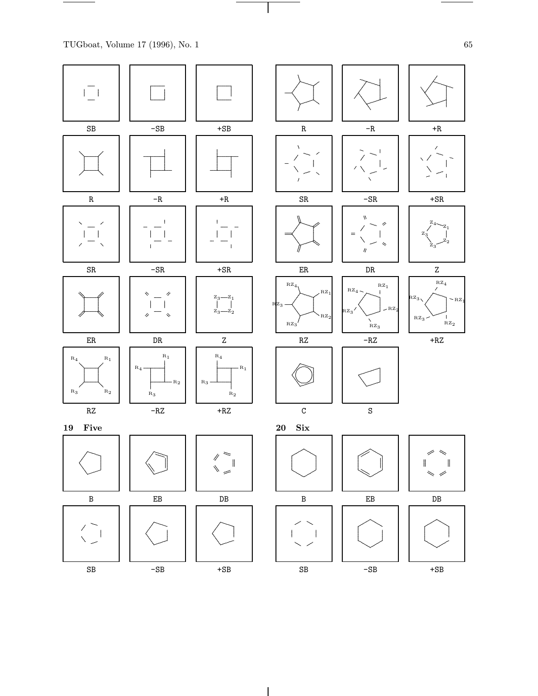$\overbrace{\hspace{40pt}}^{ \hspace{40pt} \bullet \hspace{40pt} \bullet \hspace{40pt} \bullet \hspace{40pt} \bullet \hspace{40pt} \bullet \hspace{40pt} \bullet}}$ 



 $\overline{\phantom{a}}$ 

 $\sim$